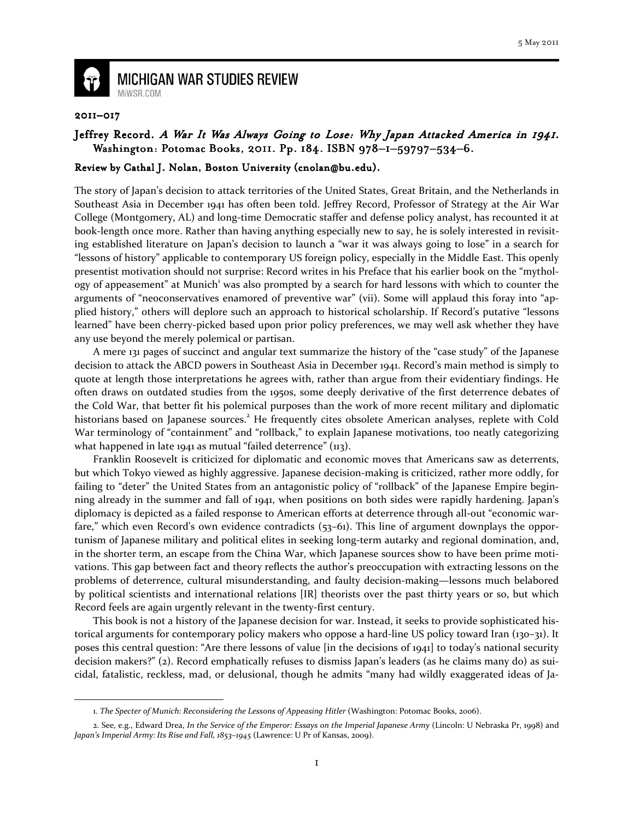

## **MICHIGAN WAR STUDIES REVIEW** MiWSR COM

## 2011–017

 $\overline{\phantom{0}}$ 

## Jeffrey Record. A War It Was Always Going to Lose: Why Japan Attacked America in 1941. Washington: Potomac Books, 2011. Pp. 184. ISBN 978-1-59797-534-6.

## Review by Cathal J. Nolan, Boston University (cnolan@bu.edu).

The story of Japan's decision to attack territories of the United States, Great Britain, and the Netherlands in Southeast Asia in December 1941 has often been told. Jeffrey Record, Professor of Strategy at the Air War College (Montgomery, AL) and long-time Democratic staffer and defense policy analyst, has recounted it at book-length once more. Rather than having anything especially new to say, he is solely interested in revisiting established literature on Japan's decision to launch a "war it was always going to lose" in a search for "lessons of history" applicable to contemporary US foreign policy, especially in the Middle East. This openly presentist motivation should not surprise: Record writes in his Preface that his earlier book on the "mythology of appeasement" at Munich<sup>1</sup> was also prompted by a search for hard lessons with which to counter the arguments of "neoconservatives enamored of preventive war" (vii). Some will applaud this foray into "applied history," others will deplore such an approach to historical scholarship. If Record's putative "lessons learned" have been cherry-picked based upon prior policy preferences, we may well ask whether they have any use beyond the merely polemical or partisan.

A mere 131 pages of succinct and angular text summarize the history of the "case study" of the Japanese decision to attack the ABCD powers in Southeast Asia in December 1941. Record's main method is simply to quote at length those interpretations he agrees with, rather than argue from their evidentiary findings. He often draws on outdated studies from the 1950s, some deeply derivative of the first deterrence debates of the Cold War, that better fit his polemical purposes than the work of more recent military and diplomatic historians based on Japanese sources.<sup>2</sup> He frequently cites obsolete American analyses, replete with Cold War terminology of "containment" and "rollback," to explain Japanese motivations, too neatly categorizing what happened in late 1941 as mutual "failed deterrence" (113).

Franklin Roosevelt is criticized for diplomatic and economic moves that Americans saw as deterrents, but which Tokyo viewed as highly aggressive. Japanese decision-making is criticized, rather more oddly, for failing to "deter" the United States from an antagonistic policy of "rollback" of the Japanese Empire beginning already in the summer and fall of 1941, when positions on both sides were rapidly hardening. Japan's diplomacy is depicted as a failed response to American efforts at deterrence through all-out "economic warfare," which even Record's own evidence contradicts (53–61). This line of argument downplays the opportunism of Japanese military and political elites in seeking long-term autarky and regional domination, and, in the shorter term, an escape from the China War, which Japanese sources show to have been prime motivations. This gap between fact and theory reflects the author's preoccupation with extracting lessons on the problems of deterrence, cultural misunderstanding, and faulty decision-making—lessons much belabored by political scientists and international relations [IR] theorists over the past thirty years or so, but which Record feels are again urgently relevant in the twenty-first century.

This book is not a history of the Japanese decision for war. Instead, it seeks to provide sophisticated historical arguments for contemporary policy makers who oppose a hard-line US policy toward Iran (130–31). It poses this central question: "Are there lessons of value [in the decisions of 1941] to today's national security decision makers?" (2). Record emphatically refuses to dismiss Japan's leaders (as he claims many do) as suicidal, fatalistic, reckless, mad, or delusional, though he admits "many had wildly exaggerated ideas of Ja-

<sup>1.</sup> The Specter of Munich: Reconsidering the Lessons of Appeasing Hitler (Washington: Potomac Books, 2006).

<sup>2.</sup> See, e.g., Edward Drea, In the Service of the Emperor: Essays on the Imperial Japanese Army (Lincoln: U Nebraska Pr, 1998) and Japan's Imperial Army: Its Rise and Fall, 1853-1945 (Lawrence: U Pr of Kansas, 2009).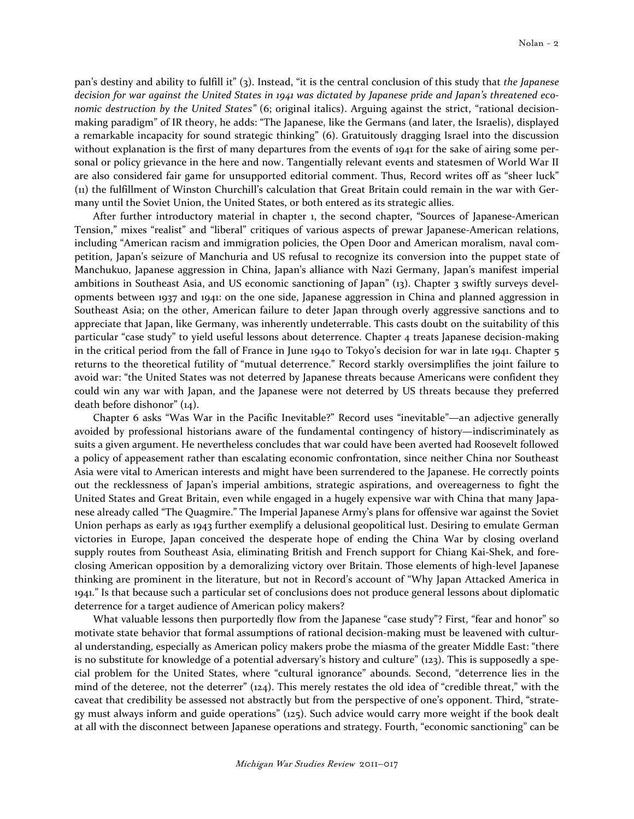pan's destiny and ability to fulfill it" (3). Instead, "it is the central conclusion of this study that the Japanese decision for war against the United States in 1941 was dictated by Japanese pride and Japan's threatened economic destruction by the United States" (6; original italics). Arguing against the strict, "rational decisionmaking paradigm" of IR theory, he adds: "The Japanese, like the Germans (and later, the Israelis), displayed a remarkable incapacity for sound strategic thinking" (6). Gratuitously dragging Israel into the discussion without explanation is the first of many departures from the events of 1941 for the sake of airing some personal or policy grievance in the here and now. Tangentially relevant events and statesmen of World War II are also considered fair game for unsupported editorial comment. Thus, Record writes off as "sheer luck" (11) the fulfillment of Winston Churchill's calculation that Great Britain could remain in the war with Germany until the Soviet Union, the United States, or both entered as its strategic allies.

After further introductory material in chapter 1, the second chapter, "Sources of Japanese-American Tension," mixes "realist" and "liberal" critiques of various aspects of prewar Japanese-American relations, including "American racism and immigration policies, the Open Door and American moralism, naval competition, Japan's seizure of Manchuria and US refusal to recognize its conversion into the puppet state of Manchukuo, Japanese aggression in China, Japan's alliance with Nazi Germany, Japan's manifest imperial ambitions in Southeast Asia, and US economic sanctioning of Japan" (13). Chapter 3 swiftly surveys developments between 1937 and 1941: on the one side, Japanese aggression in China and planned aggression in Southeast Asia; on the other, American failure to deter Japan through overly aggressive sanctions and to appreciate that Japan, like Germany, was inherently undeterrable. This casts doubt on the suitability of this particular "case study" to yield useful lessons about deterrence. Chapter 4 treats Japanese decision-making in the critical period from the fall of France in June 1940 to Tokyo's decision for war in late 1941. Chapter 5 returns to the theoretical futility of "mutual deterrence." Record starkly oversimplifies the joint failure to avoid war: "the United States was not deterred by Japanese threats because Americans were confident they could win any war with Japan, and the Japanese were not deterred by US threats because they preferred death before dishonor" (14).

Chapter 6 asks "Was War in the Pacific Inevitable?" Record uses "inevitable"—an adjective generally avoided by professional historians aware of the fundamental contingency of history—indiscriminately as suits a given argument. He nevertheless concludes that war could have been averted had Roosevelt followed a policy of appeasement rather than escalating economic confrontation, since neither China nor Southeast Asia were vital to American interests and might have been surrendered to the Japanese. He correctly points out the recklessness of Japan's imperial ambitions, strategic aspirations, and overeagerness to fight the United States and Great Britain, even while engaged in a hugely expensive war with China that many Japanese already called "The Quagmire." The Imperial Japanese Army's plans for offensive war against the Soviet Union perhaps as early as 1943 further exemplify a delusional geopolitical lust. Desiring to emulate German victories in Europe, Japan conceived the desperate hope of ending the China War by closing overland supply routes from Southeast Asia, eliminating British and French support for Chiang Kai-Shek, and foreclosing American opposition by a demoralizing victory over Britain. Those elements of high-level Japanese thinking are prominent in the literature, but not in Record's account of "Why Japan Attacked America in 1941." Is that because such a particular set of conclusions does not produce general lessons about diplomatic deterrence for a target audience of American policy makers?

What valuable lessons then purportedly flow from the Japanese "case study"? First, "fear and honor" so motivate state behavior that formal assumptions of rational decision-making must be leavened with cultural understanding, especially as American policy makers probe the miasma of the greater Middle East: "there is no substitute for knowledge of a potential adversary's history and culture" (123). This is supposedly a special problem for the United States, where "cultural ignorance" abounds. Second, "deterrence lies in the mind of the deteree, not the deterrer" (124). This merely restates the old idea of "credible threat," with the caveat that credibility be assessed not abstractly but from the perspective of one's opponent. Third, "strategy must always inform and guide operations" (125). Such advice would carry more weight if the book dealt at all with the disconnect between Japanese operations and strategy. Fourth, "economic sanctioning" can be